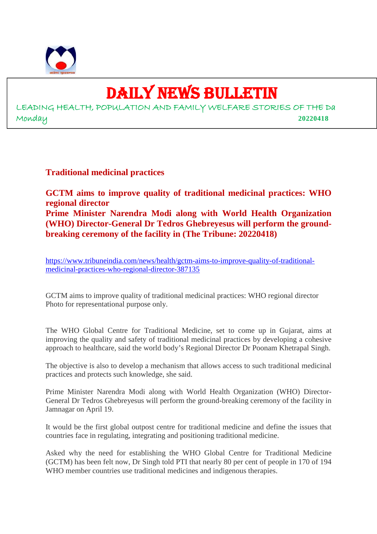

## DAILY NEWS BULLETIN

LEADING HEALTH, POPULATION AND FAMILY WELFARE STORIES OF THE Da Monday **20220418**

**Traditional medicinal practices**

**GCTM aims to improve quality of traditional medicinal practices: WHO regional director Prime Minister Narendra Modi along with World Health Organization (WHO) Director-General Dr Tedros Ghebreyesus will perform the groundbreaking ceremony of the facility in (The Tribune: 20220418)**

https://www.tribuneindia.com/news/health/gctm-aims-to-improve-quality-of-traditionalmedicinal-practices-who-regional-director-387135

GCTM aims to improve quality of traditional medicinal practices: WHO regional director Photo for representational purpose only.

The WHO Global Centre for Traditional Medicine, set to come up in Gujarat, aims at improving the quality and safety of traditional medicinal practices by developing a cohesive approach to healthcare, said the world body's Regional Director Dr Poonam Khetrapal Singh.

The objective is also to develop a mechanism that allows access to such traditional medicinal practices and protects such knowledge, she said.

Prime Minister Narendra Modi along with World Health Organization (WHO) Director-General Dr Tedros Ghebreyesus will perform the ground-breaking ceremony of the facility in Jamnagar on April 19.

It would be the first global outpost centre for traditional medicine and define the issues that countries face in regulating, integrating and positioning traditional medicine.

Asked why the need for establishing the WHO Global Centre for Traditional Medicine (GCTM) has been felt now, Dr Singh told PTI that nearly 80 per cent of people in 170 of 194 WHO member countries use traditional medicines and indigenous therapies.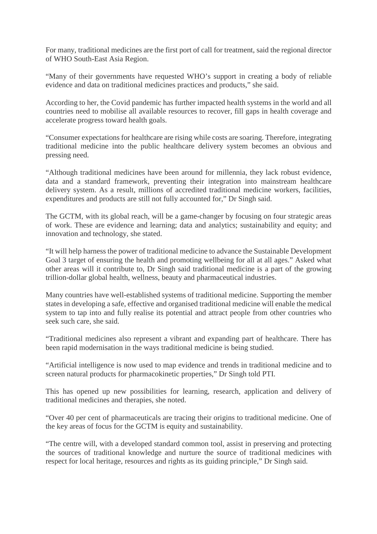For many, traditional medicines are the first port of call for treatment, said the regional director of WHO South-East Asia Region.

"Many of their governments have requested WHO's support in creating a body of reliable evidence and data on traditional medicines practices and products," she said.

According to her, the Covid pandemic has further impacted health systems in the world and all countries need to mobilise all available resources to recover, fill gaps in health coverage and accelerate progress toward health goals.

"Consumer expectations for healthcare are rising while costs are soaring. Therefore, integrating traditional medicine into the public healthcare delivery system becomes an obvious and pressing need.

"Although traditional medicines have been around for millennia, they lack robust evidence, data and a standard framework, preventing their integration into mainstream healthcare delivery system. As a result, millions of accredited traditional medicine workers, facilities, expenditures and products are still not fully accounted for," Dr Singh said.

The GCTM, with its global reach, will be a game-changer by focusing on four strategic areas of work. These are evidence and learning; data and analytics; sustainability and equity; and innovation and technology, she stated.

"It will help harness the power of traditional medicine to advance the Sustainable Development Goal 3 target of ensuring the health and promoting wellbeing for all at all ages." Asked what other areas will it contribute to, Dr Singh said traditional medicine is a part of the growing trillion-dollar global health, wellness, beauty and pharmaceutical industries.

Many countries have well-established systems of traditional medicine. Supporting the member states in developing a safe, effective and organised traditional medicine will enable the medical system to tap into and fully realise its potential and attract people from other countries who seek such care, she said.

"Traditional medicines also represent a vibrant and expanding part of healthcare. There has been rapid modernisation in the ways traditional medicine is being studied.

"Artificial intelligence is now used to map evidence and trends in traditional medicine and to screen natural products for pharmacokinetic properties," Dr Singh told PTI.

This has opened up new possibilities for learning, research, application and delivery of traditional medicines and therapies, she noted.

"Over 40 per cent of pharmaceuticals are tracing their origins to traditional medicine. One of the key areas of focus for the GCTM is equity and sustainability.

"The centre will, with a developed standard common tool, assist in preserving and protecting the sources of traditional knowledge and nurture the source of traditional medicines with respect for local heritage, resources and rights as its guiding principle," Dr Singh said.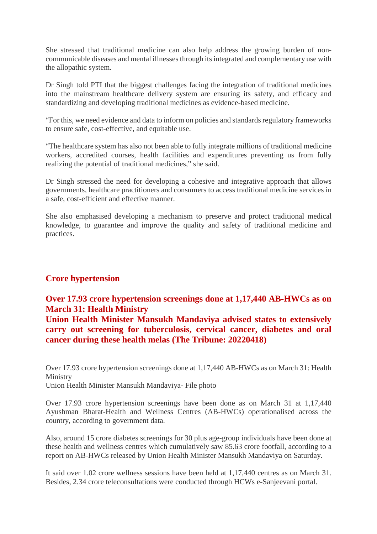She stressed that traditional medicine can also help address the growing burden of noncommunicable diseases and mental illnesses through its integrated and complementary use with the allopathic system.

Dr Singh told PTI that the biggest challenges facing the integration of traditional medicines into the mainstream healthcare delivery system are ensuring its safety, and efficacy and standardizing and developing traditional medicines as evidence-based medicine.

"For this, we need evidence and data to inform on policies and standards regulatory frameworks to ensure safe, cost-effective, and equitable use.

"The healthcare system has also not been able to fully integrate millions of traditional medicine workers, accredited courses, health facilities and expenditures preventing us from fully realizing the potential of traditional medicines," she said.

Dr Singh stressed the need for developing a cohesive and integrative approach that allows governments, healthcare practitioners and consumers to access traditional medicine services in a safe, cost-efficient and effective manner.

She also emphasised developing a mechanism to preserve and protect traditional medical knowledge, to guarantee and improve the quality and safety of traditional medicine and practices.

#### **Crore hypertension**

#### **Over 17.93 crore hypertension screenings done at 1,17,440 AB-HWCs as on March 31: Health Ministry**

**Union Health Minister Mansukh Mandaviya advised states to extensively carry out screening for tuberculosis, cervical cancer, diabetes and oral cancer during these health melas (The Tribune: 20220418)**

Over 17.93 crore hypertension screenings done at 1,17,440 AB-HWCs as on March 31: Health Ministry Union Health Minister Mansukh Mandaviya- File photo

Over 17.93 crore hypertension screenings have been done as on March 31 at 1,17,440 Ayushman Bharat-Health and Wellness Centres (AB-HWCs) operationalised across the country, according to government data.

Also, around 15 crore diabetes screenings for 30 plus age-group individuals have been done at these health and wellness centres which cumulatively saw 85.63 crore footfall, according to a report on AB-HWCs released by Union Health Minister Mansukh Mandaviya on Saturday.

It said over 1.02 crore wellness sessions have been held at 1,17,440 centres as on March 31. Besides, 2.34 crore teleconsultations were conducted through HCWs e-Sanjeevani portal.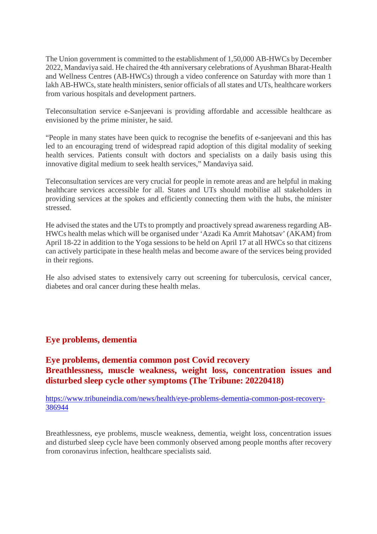The Union government is committed to the establishment of 1,50,000 AB-HWCs by December 2022, Mandaviya said. He chaired the 4th anniversary celebrations of Ayushman Bharat-Health and Wellness Centres (AB-HWCs) through a video conference on Saturday with more than 1 lakh AB-HWCs, state health ministers, senior officials of all states and UTs, healthcare workers from various hospitals and development partners.

Teleconsultation service e-Sanjeevani is providing affordable and accessible healthcare as envisioned by the prime minister, he said.

"People in many states have been quick to recognise the benefits of e-sanjeevani and this has led to an encouraging trend of widespread rapid adoption of this digital modality of seeking health services. Patients consult with doctors and specialists on a daily basis using this innovative digital medium to seek health services," Mandaviya said.

Teleconsultation services are very crucial for people in remote areas and are helpful in making healthcare services accessible for all. States and UTs should mobilise all stakeholders in providing services at the spokes and efficiently connecting them with the hubs, the minister stressed.

He advised the states and the UTs to promptly and proactively spread awareness regarding AB-HWCs health melas which will be organised under 'Azadi Ka Amrit Mahotsav' (AKAM) from April 18-22 in addition to the Yoga sessions to be held on April 17 at all HWCs so that citizens can actively participate in these health melas and become aware of the services being provided in their regions.

He also advised states to extensively carry out screening for tuberculosis, cervical cancer, diabetes and oral cancer during these health melas.

#### **Eye problems, dementia**

**Eye problems, dementia common post Covid recovery Breathlessness, muscle weakness, weight loss, concentration issues and disturbed sleep cycle other symptoms (The Tribune: 20220418)**

https://www.tribuneindia.com/news/health/eye-problems-dementia-common-post-recovery-386944

Breathlessness, eye problems, muscle weakness, dementia, weight loss, concentration issues and disturbed sleep cycle have been commonly observed among people months after recovery from coronavirus infection, healthcare specialists said.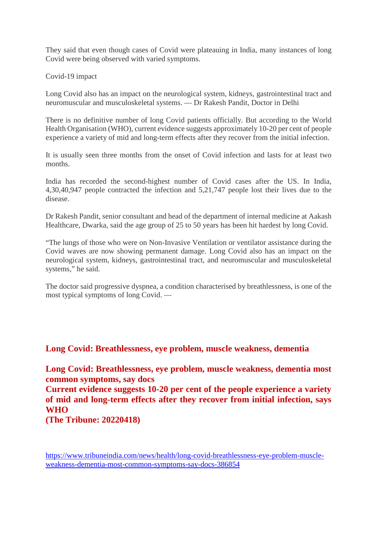They said that even though cases of Covid were plateauing in India, many instances of long Covid were being observed with varied symptoms.

Covid-19 impact

Long Covid also has an impact on the neurological system, kidneys, gastrointestinal tract and neuromuscular and musculoskeletal systems. — Dr Rakesh Pandit, Doctor in Delhi

There is no definitive number of long Covid patients officially. But according to the World Health Organisation (WHO), current evidence suggests approximately 10-20 per cent of people experience a variety of mid and long-term effects after they recover from the initial infection.

It is usually seen three months from the onset of Covid infection and lasts for at least two months.

India has recorded the second-highest number of Covid cases after the US. In India, 4,30,40,947 people contracted the infection and 5,21,747 people lost their lives due to the disease.

Dr Rakesh Pandit, senior consultant and head of the department of internal medicine at Aakash Healthcare, Dwarka, said the age group of 25 to 50 years has been hit hardest by long Covid.

"The lungs of those who were on Non-Invasive Ventilation or ventilator assistance during the Covid waves are now showing permanent damage. Long Covid also has an impact on the neurological system, kidneys, gastrointestinal tract, and neuromuscular and musculoskeletal systems," he said.

The doctor said progressive dyspnea, a condition characterised by breathlessness, is one of the most typical symptoms of long Covid. —

**Long Covid: Breathlessness, eye problem, muscle weakness, dementia**

**Long Covid: Breathlessness, eye problem, muscle weakness, dementia most common symptoms, say docs**

**Current evidence suggests 10-20 per cent of the people experience a variety of mid and long-term effects after they recover from initial infection, says WHO**

**(The Tribune: 20220418)**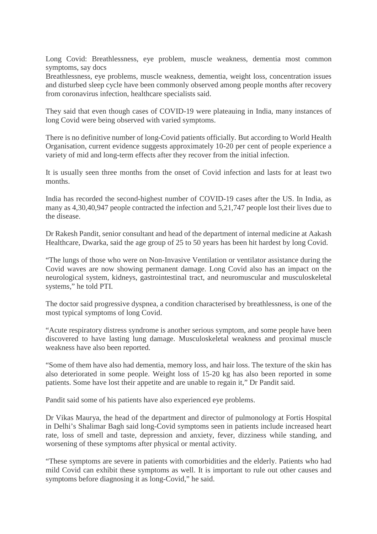Long Covid: Breathlessness, eye problem, muscle weakness, dementia most common symptoms, say docs

Breathlessness, eye problems, muscle weakness, dementia, weight loss, concentration issues and disturbed sleep cycle have been commonly observed among people months after recovery from coronavirus infection, healthcare specialists said.

They said that even though cases of COVID-19 were plateauing in India, many instances of long Covid were being observed with varied symptoms.

There is no definitive number of long-Covid patients officially. But according to World Health Organisation, current evidence suggests approximately 10-20 per cent of people experience a variety of mid and long-term effects after they recover from the initial infection.

It is usually seen three months from the onset of Covid infection and lasts for at least two months.

India has recorded the second-highest number of COVID-19 cases after the US. In India, as many as 4,30,40,947 people contracted the infection and 5,21,747 people lost their lives due to the disease.

Dr Rakesh Pandit, senior consultant and head of the department of internal medicine at Aakash Healthcare, Dwarka, said the age group of 25 to 50 years has been hit hardest by long Covid.

"The lungs of those who were on Non-Invasive Ventilation or ventilator assistance during the Covid waves are now showing permanent damage. Long Covid also has an impact on the neurological system, kidneys, gastrointestinal tract, and neuromuscular and musculoskeletal systems," he told PTI.

The doctor said progressive dyspnea, a condition characterised by breathlessness, is one of the most typical symptoms of long Covid.

"Acute respiratory distress syndrome is another serious symptom, and some people have been discovered to have lasting lung damage. Musculoskeletal weakness and proximal muscle weakness have also been reported.

"Some of them have also had dementia, memory loss, and hair loss. The texture of the skin has also deteriorated in some people. Weight loss of 15-20 kg has also been reported in some patients. Some have lost their appetite and are unable to regain it," Dr Pandit said.

Pandit said some of his patients have also experienced eye problems.

Dr Vikas Maurya, the head of the department and director of pulmonology at Fortis Hospital in Delhi's Shalimar Bagh said long-Covid symptoms seen in patients include increased heart rate, loss of smell and taste, depression and anxiety, fever, dizziness while standing, and worsening of these symptoms after physical or mental activity.

"These symptoms are severe in patients with comorbidities and the elderly. Patients who had mild Covid can exhibit these symptoms as well. It is important to rule out other causes and symptoms before diagnosing it as long-Covid," he said.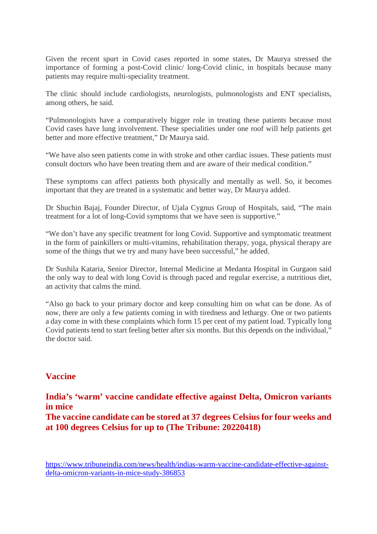Given the recent spurt in Covid cases reported in some states, Dr Maurya stressed the importance of forming a post-Covid clinic/ long-Covid clinic, in hospitals because many patients may require multi-speciality treatment.

The clinic should include cardiologists, neurologists, pulmonologists and ENT specialists, among others, he said.

"Pulmonologists have a comparatively bigger role in treating these patients because most Covid cases have lung involvement. These specialities under one roof will help patients get better and more effective treatment," Dr Maurya said.

"We have also seen patients come in with stroke and other cardiac issues. These patients must consult doctors who have been treating them and are aware of their medical condition."

These symptoms can affect patients both physically and mentally as well. So, it becomes important that they are treated in a systematic and better way, Dr Maurya added.

Dr Shuchin Bajaj, Founder Director, of Ujala Cygnus Group of Hospitals, said, "The main treatment for a lot of long-Covid symptoms that we have seen is supportive."

"We don't have any specific treatment for long Covid. Supportive and symptomatic treatment in the form of painkillers or multi-vitamins, rehabilitation therapy, yoga, physical therapy are some of the things that we try and many have been successful," he added.

Dr Sushila Kataria, Senior Director, Internal Medicine at Medanta Hospital in Gurgaon said the only way to deal with long Covid is through paced and regular exercise, a nutritious diet, an activity that calms the mind.

"Also go back to your primary doctor and keep consulting him on what can be done. As of now, there are only a few patients coming in with tiredness and lethargy. One or two patients a day come in with these complaints which form 15 per cent of my patient load. Typically long Covid patients tend to start feeling better after six months. But this depends on the individual," the doctor said.

#### **Vaccine**

**India's 'warm' vaccine candidate effective against Delta, Omicron variants in mice**

**The vaccine candidate can be stored at 37 degrees Celsius for four weeks and at 100 degrees Celsius for up to (The Tribune: 20220418)**

https://www.tribuneindia.com/news/health/indias-warm-vaccine-candidate-effective-againstdelta-omicron-variants-in-mice-study-386853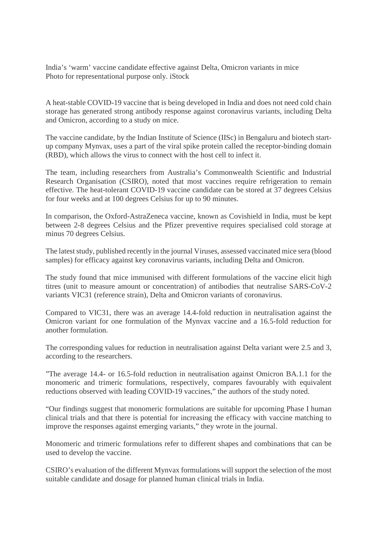India's 'warm' vaccine candidate effective against Delta, Omicron variants in mice Photo for representational purpose only. iStock

A heat-stable COVID-19 vaccine that is being developed in India and does not need cold chain storage has generated strong antibody response against coronavirus variants, including Delta and Omicron, according to a study on mice.

The vaccine candidate, by the Indian Institute of Science (IISc) in Bengaluru and biotech startup company Mynvax, uses a part of the viral spike protein called the receptor-binding domain (RBD), which allows the virus to connect with the host cell to infect it.

The team, including researchers from Australia's Commonwealth Scientific and Industrial Research Organisation (CSIRO), noted that most vaccines require refrigeration to remain effective. The heat-tolerant COVID-19 vaccine candidate can be stored at 37 degrees Celsius for four weeks and at 100 degrees Celsius for up to 90 minutes.

In comparison, the Oxford-AstraZeneca vaccine, known as Covishield in India, must be kept between 2-8 degrees Celsius and the Pfizer preventive requires specialised cold storage at minus 70 degrees Celsius.

The latest study, published recently in the journal Viruses, assessed vaccinated mice sera (blood samples) for efficacy against key coronavirus variants, including Delta and Omicron.

The study found that mice immunised with different formulations of the vaccine elicit high titres (unit to measure amount or concentration) of antibodies that neutralise SARS-CoV-2 variants VIC31 (reference strain), Delta and Omicron variants of coronavirus.

Compared to VIC31, there was an average 14.4-fold reduction in neutralisation against the Omicron variant for one formulation of the Mynvax vaccine and a 16.5-fold reduction for another formulation.

The corresponding values for reduction in neutralisation against Delta variant were 2.5 and 3, according to the researchers.

"The average 14.4- or 16.5-fold reduction in neutralisation against Omicron BA.1.1 for the monomeric and trimeric formulations, respectively, compares favourably with equivalent reductions observed with leading COVID-19 vaccines," the authors of the study noted.

"Our findings suggest that monomeric formulations are suitable for upcoming Phase I human clinical trials and that there is potential for increasing the efficacy with vaccine matching to improve the responses against emerging variants," they wrote in the journal.

Monomeric and trimeric formulations refer to different shapes and combinations that can be used to develop the vaccine.

CSIRO's evaluation of the different Mynvax formulations will support the selection of the most suitable candidate and dosage for planned human clinical trials in India.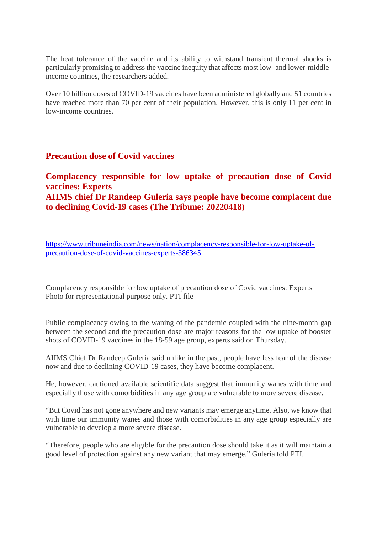The heat tolerance of the vaccine and its ability to withstand transient thermal shocks is particularly promising to address the vaccine inequity that affects most low- and lower-middleincome countries, the researchers added.

Over 10 billion doses of COVID-19 vaccines have been administered globally and 51 countries have reached more than 70 per cent of their population. However, this is only 11 per cent in low-income countries.

#### **Precaution dose of Covid vaccines**

**Complacency responsible for low uptake of precaution dose of Covid vaccines: Experts AIIMS chief Dr Randeep Guleria says people have become complacent due to declining Covid-19 cases (The Tribune: 20220418)**

https://www.tribuneindia.com/news/nation/complacency-responsible-for-low-uptake-ofprecaution-dose-of-covid-vaccines-experts-386345

Complacency responsible for low uptake of precaution dose of Covid vaccines: Experts Photo for representational purpose only. PTI file

Public complacency owing to the waning of the pandemic coupled with the nine-month gap between the second and the precaution dose are major reasons for the low uptake of booster shots of COVID-19 vaccines in the 18-59 age group, experts said on Thursday.

AIIMS Chief Dr Randeep Guleria said unlike in the past, people have less fear of the disease now and due to declining COVID-19 cases, they have become complacent.

He, however, cautioned available scientific data suggest that immunity wanes with time and especially those with comorbidities in any age group are vulnerable to more severe disease.

"But Covid has not gone anywhere and new variants may emerge anytime. Also, we know that with time our immunity wanes and those with comorbidities in any age group especially are vulnerable to develop a more severe disease.

"Therefore, people who are eligible for the precaution dose should take it as it will maintain a good level of protection against any new variant that may emerge," Guleria told PTI.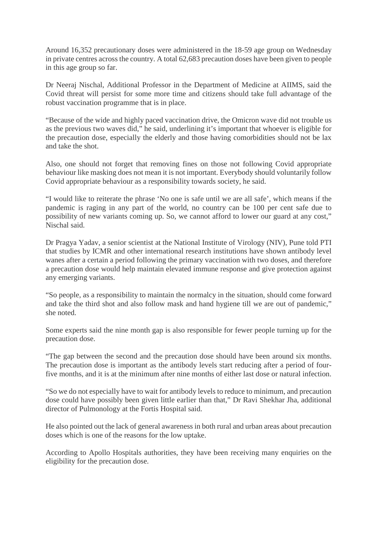Around 16,352 precautionary doses were administered in the 18-59 age group on Wednesday in private centres across the country. A total 62,683 precaution doses have been given to people in this age group so far.

Dr Neeraj Nischal, Additional Professor in the Department of Medicine at AIIMS, said the Covid threat will persist for some more time and citizens should take full advantage of the robust vaccination programme that is in place.

"Because of the wide and highly paced vaccination drive, the Omicron wave did not trouble us as the previous two waves did," he said, underlining it's important that whoever is eligible for the precaution dose, especially the elderly and those having comorbidities should not be lax and take the shot.

Also, one should not forget that removing fines on those not following Covid appropriate behaviour like masking does not mean it is not important. Everybody should voluntarily follow Covid appropriate behaviour as a responsibility towards society, he said.

"I would like to reiterate the phrase 'No one is safe until we are all safe', which means if the pandemic is raging in any part of the world, no country can be 100 per cent safe due to possibility of new variants coming up. So, we cannot afford to lower our guard at any cost," Nischal said.

Dr Pragya Yadav, a senior scientist at the National Institute of Virology (NIV), Pune told PTI that studies by ICMR and other international research institutions have shown antibody level wanes after a certain a period following the primary vaccination with two doses, and therefore a precaution dose would help maintain elevated immune response and give protection against any emerging variants.

"So people, as a responsibility to maintain the normalcy in the situation, should come forward and take the third shot and also follow mask and hand hygiene till we are out of pandemic," she noted.

Some experts said the nine month gap is also responsible for fewer people turning up for the precaution dose.

"The gap between the second and the precaution dose should have been around six months. The precaution dose is important as the antibody levels start reducing after a period of fourfive months, and it is at the minimum after nine months of either last dose or natural infection.

"So we do not especially have to wait for antibody levels to reduce to minimum, and precaution dose could have possibly been given little earlier than that," Dr Ravi Shekhar Jha, additional director of Pulmonology at the Fortis Hospital said.

He also pointed out the lack of general awareness in both rural and urban areas about precaution doses which is one of the reasons for the low uptake.

According to Apollo Hospitals authorities, they have been receiving many enquiries on the eligibility for the precaution dose.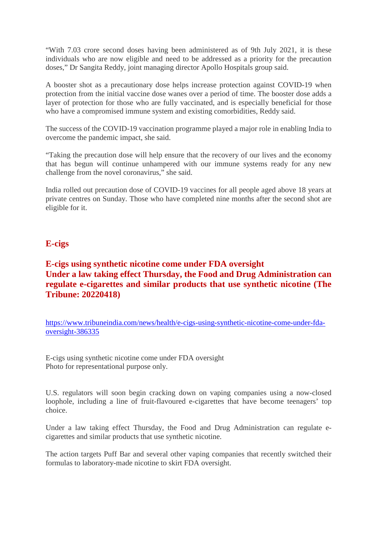"With 7.03 crore second doses having been administered as of 9th July 2021, it is these individuals who are now eligible and need to be addressed as a priority for the precaution doses," Dr Sangita Reddy, joint managing director Apollo Hospitals group said.

A booster shot as a precautionary dose helps increase protection against COVID-19 when protection from the initial vaccine dose wanes over a period of time. The booster dose adds a layer of protection for those who are fully vaccinated, and is especially beneficial for those who have a compromised immune system and existing comorbidities, Reddy said.

The success of the COVID-19 vaccination programme played a major role in enabling India to overcome the pandemic impact, she said.

"Taking the precaution dose will help ensure that the recovery of our lives and the economy that has begun will continue unhampered with our immune systems ready for any new challenge from the novel coronavirus," she said.

India rolled out precaution dose of COVID-19 vaccines for all people aged above 18 years at private centres on Sunday. Those who have completed nine months after the second shot are eligible for it.

#### **E-cigs**

#### **E-cigs using synthetic nicotine come under FDA oversight Under a law taking effect Thursday, the Food and Drug Administration can regulate e-cigarettes and similar products that use synthetic nicotine (The Tribune: 20220418)**

https://www.tribuneindia.com/news/health/e-cigs-using-synthetic-nicotine-come-under-fdaoversight-386335

E-cigs using synthetic nicotine come under FDA oversight Photo for representational purpose only.

U.S. regulators will soon begin cracking down on vaping companies using a now-closed loophole, including a line of fruit-flavoured e-cigarettes that have become teenagers' top choice.

Under a law taking effect Thursday, the Food and Drug Administration can regulate ecigarettes and similar products that use synthetic nicotine.

The action targets Puff Bar and several other vaping companies that recently switched their formulas to laboratory-made nicotine to skirt FDA oversight.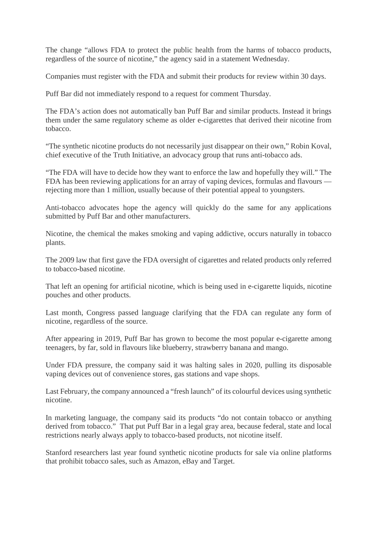The change "allows FDA to protect the public health from the harms of tobacco products, regardless of the source of nicotine," the agency said in a statement Wednesday.

Companies must register with the FDA and submit their products for review within 30 days.

Puff Bar did not immediately respond to a request for comment Thursday.

The FDA's action does not automatically ban Puff Bar and similar products. Instead it brings them under the same regulatory scheme as older e-cigarettes that derived their nicotine from tobacco.

"The synthetic nicotine products do not necessarily just disappear on their own," Robin Koval, chief executive of the Truth Initiative, an advocacy group that runs anti-tobacco ads.

"The FDA will have to decide how they want to enforce the law and hopefully they will." The FDA has been reviewing applications for an array of vaping devices, formulas and flavours rejecting more than 1 million, usually because of their potential appeal to youngsters.

Anti-tobacco advocates hope the agency will quickly do the same for any applications submitted by Puff Bar and other manufacturers.

Nicotine, the chemical the makes smoking and vaping addictive, occurs naturally in tobacco plants.

The 2009 law that first gave the FDA oversight of cigarettes and related products only referred to tobacco-based nicotine.

That left an opening for artificial nicotine, which is being used in e-cigarette liquids, nicotine pouches and other products.

Last month, Congress passed language clarifying that the FDA can regulate any form of nicotine, regardless of the source.

After appearing in 2019, Puff Bar has grown to become the most popular e-cigarette among teenagers, by far, sold in flavours like blueberry, strawberry banana and mango.

Under FDA pressure, the company said it was halting sales in 2020, pulling its disposable vaping devices out of convenience stores, gas stations and vape shops.

Last February, the company announced a "fresh launch" of its colourful devices using synthetic nicotine.

In marketing language, the company said its products "do not contain tobacco or anything derived from tobacco." That put Puff Bar in a legal gray area, because federal, state and local restrictions nearly always apply to tobacco-based products, not nicotine itself.

Stanford researchers last year found synthetic nicotine products for sale via online platforms that prohibit tobacco sales, such as Amazon, eBay and Target.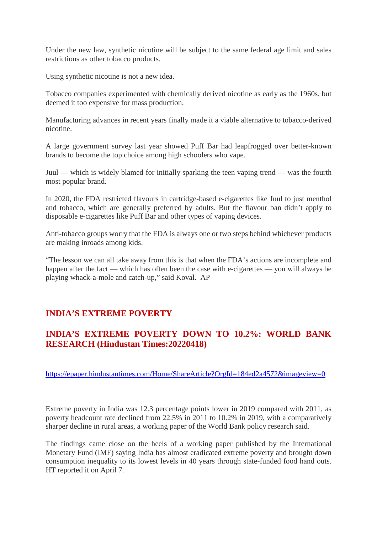Under the new law, synthetic nicotine will be subject to the same federal age limit and sales restrictions as other tobacco products.

Using synthetic nicotine is not a new idea.

Tobacco companies experimented with chemically derived nicotine as early as the 1960s, but deemed it too expensive for mass production.

Manufacturing advances in recent years finally made it a viable alternative to tobacco-derived nicotine.

A large government survey last year showed Puff Bar had leapfrogged over better-known brands to become the top choice among high schoolers who vape.

Juul — which is widely blamed for initially sparking the teen vaping trend — was the fourth most popular brand.

In 2020, the FDA restricted flavours in cartridge-based e-cigarettes like Juul to just menthol and tobacco, which are generally preferred by adults. But the flavour ban didn't apply to disposable e-cigarettes like Puff Bar and other types of vaping devices.

Anti-tobacco groups worry that the FDA is always one or two steps behind whichever products are making inroads among kids.

"The lesson we can all take away from this is that when the FDA's actions are incomplete and happen after the fact — which has often been the case with e-cigarettes — you will always be playing whack-a-mole and catch-up," said Koval. AP

## **INDIA'S EXTREME POVERTY**

## **INDIA'S EXTREME POVERTY DOWN TO 10.2%: WORLD BANK RESEARCH (Hindustan Times:20220418)**

https://epaper.hindustantimes.com/Home/ShareArticle?OrgId=184ed2a4572&imageview=0

Extreme poverty in India was 12.3 percentage points lower in 2019 compared with 2011, as poverty headcount rate declined from 22.5% in 2011 to 10.2% in 2019, with a comparatively sharper decline in rural areas, a working paper of the World Bank policy research said.

The findings came close on the heels of a working paper published by the International Monetary Fund (IMF) saying India has almost eradicated extreme poverty and brought down consumption inequality to its lowest levels in 40 years through state-funded food hand outs. HT reported it on April 7.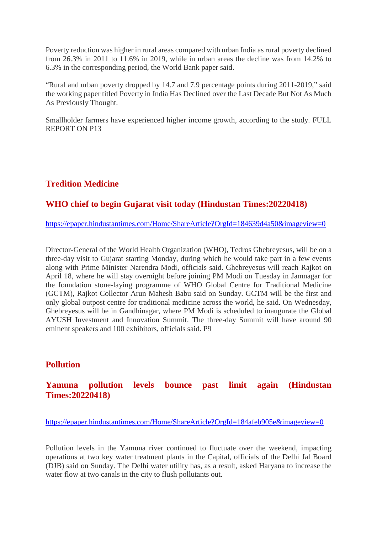Poverty reduction was higher in rural areas compared with urban India as rural poverty declined from 26.3% in 2011 to 11.6% in 2019, while in urban areas the decline was from 14.2% to 6.3% in the corresponding period, the World Bank paper said.

"Rural and urban poverty dropped by 14.7 and 7.9 percentage points during 2011-2019," said the working paper titled Poverty in India Has Declined over the Last Decade But Not As Much As Previously Thought.

Smallholder farmers have experienced higher income growth, according to the study. FULL REPORT ON P13

## **Tredition Medicine**

#### **WHO chief to begin Gujarat visit today (Hindustan Times:20220418)**

https://epaper.hindustantimes.com/Home/ShareArticle?OrgId=184639d4a50&imageview=0

Director-General of the World Health Organization (WHO), Tedros Ghebreyesus, will be on a three-day visit to Gujarat starting Monday, during which he would take part in a few events along with Prime Minister Narendra Modi, officials said. Ghebreyesus will reach Rajkot on April 18, where he will stay overnight before joining PM Modi on Tuesday in Jamnagar for the foundation stone-laying programme of WHO Global Centre for Traditional Medicine (GCTM), Rajkot Collector Arun Mahesh Babu said on Sunday. GCTM will be the first and only global outpost centre for traditional medicine across the world, he said. On Wednesday, Ghebreyesus will be in Gandhinagar, where PM Modi is scheduled to inaugurate the Global AYUSH Investment and Innovation Summit. The three-day Summit will have around 90 eminent speakers and 100 exhibitors, officials said. P9

#### **Pollution**

#### **Yamuna pollution levels bounce past limit again (Hindustan Times:20220418)**

https://epaper.hindustantimes.com/Home/ShareArticle?OrgId=184afeb905e&imageview=0

Pollution levels in the Yamuna river continued to fluctuate over the weekend, impacting operations at two key water treatment plants in the Capital, officials of the Delhi Jal Board (DJB) said on Sunday. The Delhi water utility has, as a result, asked Haryana to increase the water flow at two canals in the city to flush pollutants out.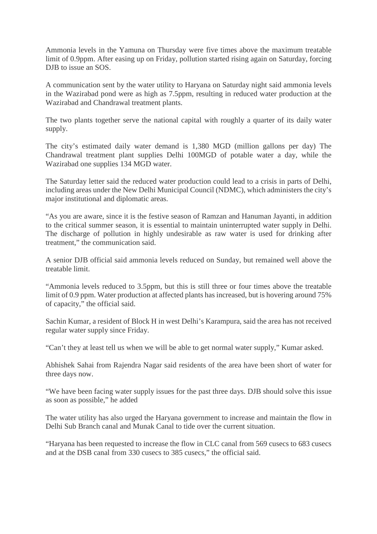Ammonia levels in the Yamuna on Thursday were five times above the maximum treatable limit of 0.9ppm. After easing up on Friday, pollution started rising again on Saturday, forcing DJB to issue an SOS.

A communication sent by the water utility to Haryana on Saturday night said ammonia levels in the Wazirabad pond were as high as 7.5ppm, resulting in reduced water production at the Wazirabad and Chandrawal treatment plants.

The two plants together serve the national capital with roughly a quarter of its daily water supply.

The city's estimated daily water demand is 1,380 MGD (million gallons per day) The Chandrawal treatment plant supplies Delhi 100MGD of potable water a day, while the Wazirabad one supplies 134 MGD water.

The Saturday letter said the reduced water production could lead to a crisis in parts of Delhi, including areas under the New Delhi Municipal Council (NDMC), which administers the city's major institutional and diplomatic areas.

"As you are aware, since it is the festive season of Ramzan and Hanuman Jayanti, in addition to the critical summer season, it is essential to maintain uninterrupted water supply in Delhi. The discharge of pollution in highly undesirable as raw water is used for drinking after treatment," the communication said.

A senior DJB official said ammonia levels reduced on Sunday, but remained well above the treatable limit.

"Ammonia levels reduced to 3.5ppm, but this is still three or four times above the treatable limit of 0.9 ppm. Water production at affected plants has increased, but is hovering around 75% of capacity," the official said.

Sachin Kumar, a resident of Block H in west Delhi's Karampura, said the area has not received regular water supply since Friday.

"Can't they at least tell us when we will be able to get normal water supply," Kumar asked.

Abhishek Sahai from Rajendra Nagar said residents of the area have been short of water for three days now.

"We have been facing water supply issues for the past three days. DJB should solve this issue as soon as possible," he added

The water utility has also urged the Haryana government to increase and maintain the flow in Delhi Sub Branch canal and Munak Canal to tide over the current situation.

"Haryana has been requested to increase the flow in CLC canal from 569 cusecs to 683 cusecs and at the DSB canal from 330 cusecs to 385 cusecs," the official said.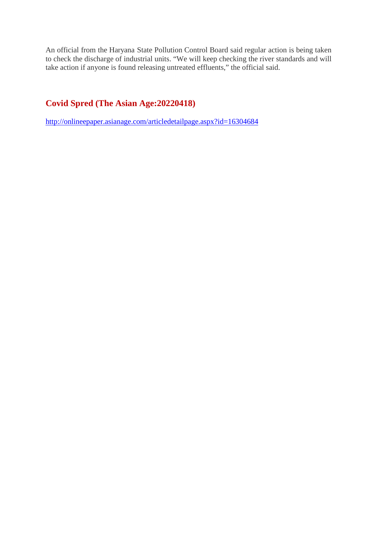An official from the Haryana State Pollution Control Board said regular action is being taken to check the discharge of industrial units. "We will keep checking the river standards and will take action if anyone is found releasing untreated effluents," the official said.

## **Covid Spred (The Asian Age:20220418)**

http://onlineepaper.asianage.com/articledetailpage.aspx?id=16304684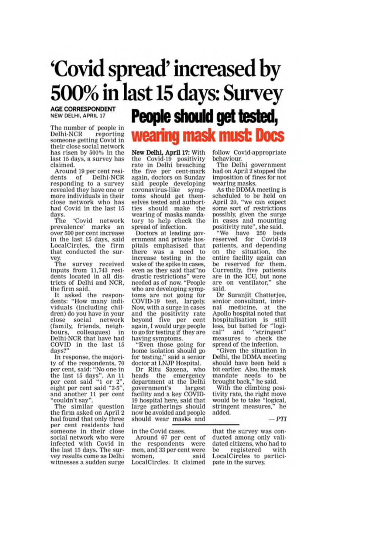# 'Covid spread' increased by 500% in last 15 days: Survey

**AGE CORRESPONDENT** NEW DELHI, APRIL 17

The number of people in Delhi-NCR reporting someone getting Covid in their close social network has risen by 500% in the last 15 days, a survey has claimed.

Around 19 per cent residents of Delhi-NCR responding to a survey revealed they have one or more individuals in their close network who has had Covid in the last 15 days.

The 'Covid network<br>prevalence' marks an over 500 per cent increase in the last 15 days, said LocalCircles, the firm that conducted the survev.

The survey received inputs from 11,743 resi-<br>dents located in all districts of Delhi and NCR. the firm said.

It asked the respondents: "How many individuals (including children) do you have in your close social network (family, friends, neighcolleagues) in bours, Delhi-NCR that have had COVID in the last 15 days?"

In response, the majority of the respondents, 70 per cent, said: "No one in the last 15 days". An 11<br>per cent said "1 or 2",<br>eight per cent said "3-5", and another 11 per cent "couldn't say"

The similar question the firm asked on April 2 had found that only three per cent residents had someone in their close social network who were infected with Covid in the last 15 days. The survey results come as Delhi witnesses a sudden surge

People should get tested, wearing mask must: Docs

New Delhi, April 17: With the Covid-19 positivity rate in Delhi breaching the five per cent-mark again, doctors on Sunday said people developing coronavirus-like symptoms should get themselves tested and authorities should make the wearing of masks mandatory to help check the spread of infection.

Doctors at leading government and private hospitals emphasised that there was a need to increase testing in the wake of the spike in cases, even as they said that"no drastic restrictions" were needed as of now. "People who are developing symptoms are not going for COVID-19 test, largely. Now, with a surge in cases and the positivity rate beyond five per cent again, I would urge people to go for testing if they are having symptoms.

Even those going for home isolation should go for testing," said a senior doctor at LNJP Hospital.

Dr Ritu Saxena, who heads the emergency department at the Delhi government's largest facility and a key COVID-19 hospital here, said that large gatherings should now be avoided and people should wear masks and

in the Covid cases.

Around 67 per cent of the respondents were men, and 33 per cent were women said LocalCircles. It claimed follow Covid-appropriate behaviour.

The Delhi government had on April 2 stopped the imposition of fines for not wearing masks.

As the DDMA meeting is scheduled to be held on<br>April 20, "we can expect some sort of restrictions possibly, given the surge in cases and mounting<br>positivity rate", she said.<br>"We have 250 beds<br>reserved for Covid-19

patients, and depending on the situation, the entire facility again can be reserved for them. Currently, five patients<br>are in the ICU, but none are on ventilator," she said.

Dr Suranjit Chatterjee, senior consultant, internal medicine, at the Apollo hospital noted that hospitalisation is still<br>less, but batted for "logi-<br>cal" and "stringent" and "stringent" measures to check the spread of the infection.

"Given the situation in Delhi, the DDMA meeting should have been held a bit earlier. Also, the mask mandate needs to be brought back," he said.

With the climbing positivity rate, the right move would be to take "logical, stringent measures," he added.

 $-PTI$ 

that the survey was conducted among only validated citizens, who had to registered be with LocalCircles to participate in the survey.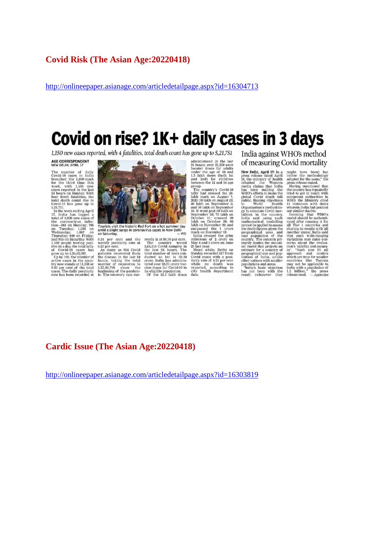#### **Covid Risk (The Asian Age:20220418)**

http://onlineepaper.asianage.com/articledetailpage.aspx?id=16304713

# Covid on rise? 1K+ daily cases in 3 days

1,150 new cases reported, with 4 fatalities, total death count has gone up to 5,21,751

## AGE CORRESPONDENT

The number of daily<br>Covid-19 cases in India<br>breaded the 1,000-mark<br>for the third time this<br>for the third time this<br>sesse reported in the bast<br>24 hours on Sunday. With four<br>total death count due to<br> $\text{Covid-19}$  has gone up 5,21,751.<br>In the week ending April

17, India has logged<br>total of 6,826 new cases eda<br>es of total of 8,826 new cases of<br>the coronavirus infection—861 on Monday; 796<br>on Tuesday; 1,088 on<br>Wednesday; 1,007 on<br>Thursday; 949 on Friday;<br>and 975 on Saturday. With

and 975 on Saturday, With 1.50 people testing positive in a day, the total tally of Covid-19 cases has gone up to 4,30,42,097. Up by 192, the number of active cases in the total typ now stands at 11,558 or 0.03 per cent o



Tourists visit the historic Red Fort on a hot summer day<br>amid a slight surge in coronavirus cases in New Delhi<br>on Saturday. – PTI

on Saturay.<br>
Saturay.<br>
The cent and the weekly positivity rate at  $0.37$  per cent.<br>
As many as 954 Covid<br>
patients recovered from<br>
the disease in the last 24<br>
humber of recoveries to<br>
beginning of the pandem-<br>
ic. The reco

and the rently is at 98.76 per cent. rently is at 98.76 per cent.<br>The country tested 3,65,118 Covid samples in the last 24 hours. The total number of tests conducted so far is 83.18<br>crowns to the dal number of tests conducted so far is 93.18<br>crowns being the

or administered in the last<br>24 hours, over 23,500 were<br>booster doses for adults<br>under the age of 60 and<br>1.5 lakh doses (both 1st<br>and 2nd) for children<br>between the 12 and 14 age<br>proun.

group.<br>The group<br>
are country's Covid-19<br>
tally had crossed the 20-<br>
tally had crossed the 20-<br>
talch mark on August 23;<br>
2020; 30 lakh on September 5;<br>
and 50 lakh on September 16;<br>
and 50 lakh on Noweber 11;<br>
September 28; 70 lakh country's Covid-19

India against WHO's method of measuring Covid mortality

Of **MCASUITING** Corresponding To New Delhi, April 17: In a press release dated April 15, the ministry of health rebutted the Western media chains that India between the WHO's efforts to make the global Covid death to WHO'

populations and areas.<br>"India's basic objection<br>has not been with the<br>result (whatever they

might have been) but<br>rather the methodology<br>adopted for the same," the

rather the methodology and<br>predictional randomlogy adopted for the same," the methodology press release stated.<br>The value of the country has repeatedly true to the country has repeatedly competent authorities in the Munis

#### **Cardic Issue (The Asian Age:20220418)**

http://onlineepaper.asianage.com/articledetailpage.aspx?id=16303819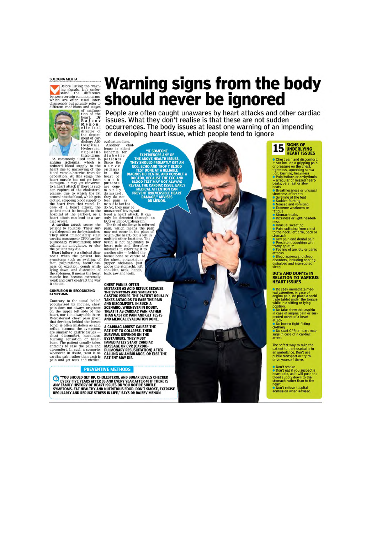#### **SULOGNA MEHTA**



 $\begin{tabular}{p{0.85\textwidth}} $p$ is a graph of a graph is related to a subgraph is reduced blood supply to the hard due to narrowing of the blood vessels/arteries from fat deposition. At this stage, the hard muscle has not yet been to a heart muscle has not yet been to a heart attack if there is sudden rupture of the cholesterol planes into the blood supplies. In case of a heart attack, the hospital at the earliest, as a heat attack can lead to a central attack can lead to a car-diac arrest. A model can be used to be a large area, as a dieac arrest. A model is a large area, the effect of a more than the object is a large area. The effect of a one of a particular amount of a single area. The effect of a one of the object is a single area. The effect of a one of the object is a single area. The effect of a one of the object is a single area. The effect of a one of the$ 

hospital at the earnest, as a<br>heart attack can lead to a car-<br>diac arrest cancel at the carrelation of collapse. Their survey<br>point to collapse the pixel of the vival depends on the bystanders.<br>They must immediately start<br> weak and can't contract the way<br>it should.

#### **CONFUSION IN RECOGNIZING**<br>SYMPTOMS

**SYMPTOMS**<br>Contrary to the usual belief,<br>popularized by movies, chest<br>pain does not always originate<br>on the upper left side of the<br>heart, nor is it always felt there.<br>Retrosternal chest pain (pain<br>that develops beind the b

# **Warning signs from the body should never be ignored**

People are often caught unawares by heart attacks and other cardiac issues. What they don't realise is that these are not sudden occurrences. The body issues at least one warning of an impending or developing heart issue, which people tend to ignore

evaluation done.<br>Another chal-

THE ABOVE HEAT HIS CONFIDENCE AND THE ASSESSMENT TO THE ABOVE HEAT THIS SECTION TO BE A RELIABLE TO BE A RELIABLE TO BE A RELIABLE TO BE A RELIABLE TO BE A RELIABLE TO PROMOTOR, BECAUSE THE ECO AND THE CARDIAGE TO A REPORT

٢

evaluation done.<br>
Another challenge is significant and the transmitted in the transmit of the single and that is the mean of the process of the process of the angle of the angle of the angle of the angle of the angle of th **DR MENON** 

CHEST PAIN IS OFTEN<br>MISTAKEN AS ACID REFLUX BECAUSE<br>MISTAKEN AS ACID REFLUX BECAUSE<br>THE SYMPTOMS ARE SIMILAR TO<br>GASTRIC ISSUES. THE PATIENT USUALLY<br>TAKES ANTACIDS TO EASE THE PAIN<br>SCENARIO, WHENEVER IN DOUBT,<br>TERAT IT AS C CHEST PAIN IS OFTEN

A CARDIAC ARREST CAUSES THE A CARDIAC ARREST CAUSES THE<br>PATIENT TO COLLAPSE. THEIR<br>SURVIVAL DEPENDS ON THE<br>IMPORTMORES. THEY MUST<br>IMMEDIATELY START CARDIAC<br>MASSAGE OR CPR (CARDIO-<br>CALLING AN AMBULANCE, OR ELSE THE<br>PATIENT MAY DIE.

#### **PREVENTIVE METHODS**

TOU SHOULD GET BP, CHOLESTEROL AND SUGAR LEVELS CHECKED EVERY FIVE YEARS AFTER 35 AND EVERY YEAR AFTER 40 IF THERE IS AND FURNY FAMILLY HISTORY OF HEART ISSUES ON YOU NOTICE SUBTLE SYMPTOMS. EXPRESS THE ALTHRAL THERE IS SY

15 **SIGNS OF**<br>**HEART ISSUES** 

**COMPANY ISSUES**<br> **COMPANY ISSUES**<br> **COMPANY ISSUES**<br> **COMPANY ISSUES:**<br> **COMPANY ISSUES:**<br> **COMPANY ISSUES:**<br> **COMPANY ISSUES:**<br> **COMPANY ISSUES:**<br> **COMPANY ISSUES:**<br> **COMPANY ISSUES:**<br> **COMPANY ISSUES:**<br> **COMPANY** ISSUES

attacks<br>• Sleep apnoea and sleep<br>disorders, including snoring,<br>disturbed and interrupted

**Do sek immediate mediate mediate mediate maigran pain, do place a sorbit<br>tratte tablet under the capacity will ein a sitting or lying<br>while in a sitting or lying<br>position.<br>The position is position in case of angina pain** 

The safest way to take the<br>patient to the hospital is in<br>an ambulance. Don't use<br>public transport or try to<br>drive yourself there.

© Don't smoke<br>© Don't eat if you suspect a<br>heart pain, as it will push the<br>blood supply down to the<br>stomach rather than to the<br>meart<br>© Don't refuse hospital<br>admission when advised.

S Palpitations or arrlythmia<br>
or Parizations or any discussion of the peats, very fast or slow<br>
beats, very fast or slow<br>
beats<br>
beats breathlessness or unusual<br>
s Swelling of the feet<br>
S Sadden fainting<br>
C Sktreme weaknes rangue<br>● Stomach pain.<br>● Dizziness or light-headed· :ss<br>Unusual sweating **C** Driusual sweating<br> **C** Pain radiating from chest<br>
to the neck, left arm, back or<br>
stomach stomach<br>
C Jaw pain and dental pain<br>
C Persistent coughing with<br>
frothy sputum<br>
C Feeling of anxiety or panic<br>
C Sleen<br>
C Sleen<br>
C Sleen<br>
C Sleen<br>
C Sleen<br>
C Sleen<br>
C Sleen<br>
C Sleen<br>
C Sleen<br>
C Sleen<br>
C Sleen<br>
C Sleen<br>
C S

eep

#### **DO'S AND DON'TS IN RELATION TO VARIOUS<br>HEART ISSUES**

Do seek immediate med-

**DO TOUSSER SEX OF DO STATE OF A CONTRACT DEATH CPR OF heart mas-**<br>Sage in case of a cardiac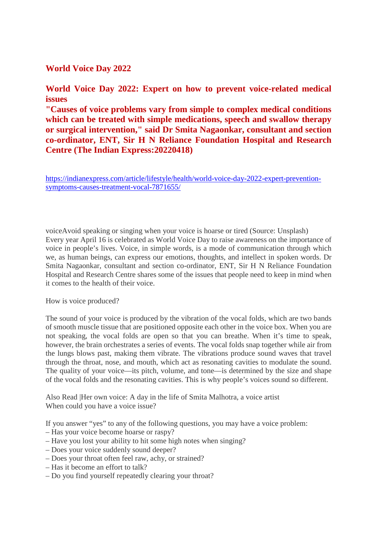#### **World Voice Day 2022**

#### **World Voice Day 2022: Expert on how to prevent voice-related medical issues**

**"Causes of voice problems vary from simple to complex medical conditions which can be treated with simple medications, speech and swallow therapy or surgical intervention," said Dr Smita Nagaonkar, consultant and section co-ordinator, ENT, Sir H N Reliance Foundation Hospital and Research Centre (The Indian Express:20220418)**

https://indianexpress.com/article/lifestyle/health/world-voice-day-2022-expert-preventionsymptoms-causes-treatment-vocal-7871655/

voiceAvoid speaking or singing when your voice is hoarse or tired (Source: Unsplash) Every year April 16 is celebrated as World Voice Day to raise awareness on the importance of voice in people's lives. Voice, in simple words, is a mode of communication through which we, as human beings, can express our emotions, thoughts, and intellect in spoken words. Dr Smita Nagaonkar, consultant and section co-ordinator, ENT, Sir H N Reliance Foundation Hospital and Research Centre shares some of the issues that people need to keep in mind when it comes to the health of their voice.

How is voice produced?

The sound of your voice is produced by the vibration of the vocal folds, which are two bands of smooth muscle tissue that are positioned opposite each other in the voice box. When you are not speaking, the vocal folds are open so that you can breathe. When it's time to speak, however, the brain orchestrates a series of events. The vocal folds snap together while air from the lungs blows past, making them vibrate. The vibrations produce sound waves that travel through the throat, nose, and mouth, which act as resonating cavities to modulate the sound. The quality of your voice—its pitch, volume, and tone—is determined by the size and shape of the vocal folds and the resonating cavities. This is why people's voices sound so different.

Also Read |Her own voice: A day in the life of Smita Malhotra, a voice artist When could you have a voice issue?

If you answer "yes" to any of the following questions, you may have a voice problem:

- Has your voice become hoarse or raspy?
- Have you lost your ability to hit some high notes when singing?
- Does your voice suddenly sound deeper?
- Does your throat often feel raw, achy, or strained?
- Has it become an effort to talk?
- Do you find yourself repeatedly clearing your throat?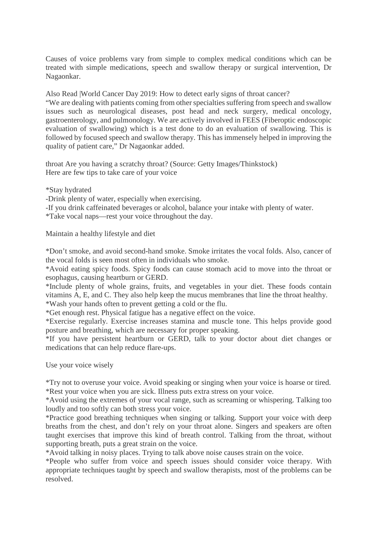Causes of voice problems vary from simple to complex medical conditions which can be treated with simple medications, speech and swallow therapy or surgical intervention, Dr Nagaonkar.

Also Read |World Cancer Day 2019: How to detect early signs of throat cancer?

"We are dealing with patients coming from other specialties suffering from speech and swallow issues such as neurological diseases, post head and neck surgery, medical oncology, gastroenterology, and pulmonology. We are actively involved in FEES (Fiberoptic endoscopic evaluation of swallowing) which is a test done to do an evaluation of swallowing. This is followed by focused speech and swallow therapy. This has immensely helped in improving the quality of patient care," Dr Nagaonkar added.

throat Are you having a scratchy throat? (Source: Getty Images/Thinkstock) Here are few tips to take care of your voice

\*Stay hydrated

-Drink plenty of water, especially when exercising.

-If you drink caffeinated beverages or alcohol, balance your intake with plenty of water.

\*Take vocal naps—rest your voice throughout the day.

Maintain a healthy lifestyle and diet

\*Don't smoke, and avoid second-hand smoke. Smoke irritates the vocal folds. Also, cancer of the vocal folds is seen most often in individuals who smoke.

\*Avoid eating spicy foods. Spicy foods can cause stomach acid to move into the throat or esophagus, causing heartburn or GERD.

\*Include plenty of whole grains, fruits, and vegetables in your diet. These foods contain vitamins A, E, and C. They also help keep the mucus membranes that line the throat healthy.

\*Wash your hands often to prevent getting a cold or the flu.

\*Get enough rest. Physical fatigue has a negative effect on the voice.

\*Exercise regularly. Exercise increases stamina and muscle tone. This helps provide good posture and breathing, which are necessary for proper speaking.

\*If you have persistent heartburn or GERD, talk to your doctor about diet changes or medications that can help reduce flare-ups.

Use your voice wisely

\*Try not to overuse your voice. Avoid speaking or singing when your voice is hoarse or tired. \*Rest your voice when you are sick. Illness puts extra stress on your voice.

\*Avoid using the extremes of your vocal range, such as screaming or whispering. Talking too loudly and too softly can both stress your voice.

\*Practice good breathing techniques when singing or talking. Support your voice with deep breaths from the chest, and don't rely on your throat alone. Singers and speakers are often taught exercises that improve this kind of breath control. Talking from the throat, without supporting breath, puts a great strain on the voice.

\*Avoid talking in noisy places. Trying to talk above noise causes strain on the voice.

\*People who suffer from voice and speech issues should consider voice therapy. With appropriate techniques taught by speech and swallow therapists, most of the problems can be resolved.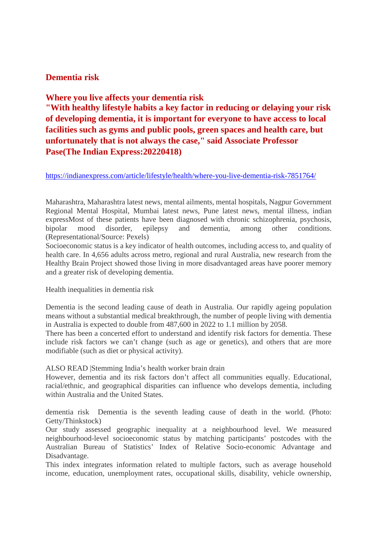#### **Dementia risk**

#### **Where you live affects your dementia risk**

**"With healthy lifestyle habits a key factor in reducing or delaying your risk of developing dementia, it is important for everyone to have access to local facilities such as gyms and public pools, green spaces and health care, but unfortunately that is not always the case," said Associate Professor Pase(The Indian Express:20220418)**

https://indianexpress.com/article/lifestyle/health/where-you-live-dementia-risk-7851764/

Maharashtra, Maharashtra latest news, mental ailments, mental hospitals, Nagpur Government Regional Mental Hospital, Mumbai latest news, Pune latest news, mental illness, indian expressMost of these patients have been diagnosed with chronic schizophrenia, psychosis, bipolar mood disorder, epilepsy and dementia, among other conditions. (Representational/Source: Pexels)

Socioeconomic status is a key indicator of health outcomes, including access to, and quality of health care. In 4,656 adults across metro, regional and rural Australia, new research from the Healthy Brain Project showed those living in more disadvantaged areas have poorer memory and a greater risk of developing dementia.

Health inequalities in dementia risk

Dementia is the second leading cause of death in Australia. Our rapidly ageing population means without a substantial medical breakthrough, the number of people living with dementia in Australia is expected to double from 487,600 in 2022 to 1.1 million by 2058.

There has been a concerted effort to understand and identify risk factors for dementia. These include risk factors we can't change (such as age or genetics), and others that are more modifiable (such as diet or physical activity).

ALSO READ |Stemming India's health worker brain drain

However, dementia and its risk factors don't affect all communities equally. Educational, racial/ethnic, and geographical disparities can influence who develops dementia, including within Australia and the United States.

dementia risk Dementia is the seventh leading cause of death in the world. (Photo: Getty/Thinkstock)

Our study assessed geographic inequality at a neighbourhood level. We measured neighbourhood-level socioeconomic status by matching participants' postcodes with the Australian Bureau of Statistics' Index of Relative Socio-economic Advantage and Disadvantage.

This index integrates information related to multiple factors, such as average household income, education, unemployment rates, occupational skills, disability, vehicle ownership,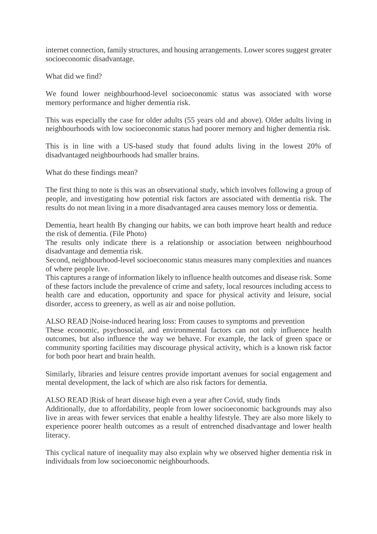internet connection, family structures, and housing arrangements. Lower scores suggest greater socioeconomic disadvantage.

What did we find?

We found lower neighbourhood-level socioeconomic status was associated with worse memory performance and higher dementia risk.

This was especially the case for older adults (55 years old and above). Older adults living in neighbourhoods with low socioeconomic status had poorer memory and higher dementia risk.

This is in line with a US-based study that found adults living in the lowest 20% of disadvantaged neighbourhoods had smaller brains.

What do these findings mean?

The first thing to note is this was an observational study, which involves following a group of people, and investigating how potential risk factors are associated with dementia risk. The results do not mean living in a more disadvantaged area causes memory loss or dementia.

Dementia, heart health By changing our habits, we can both improve heart health and reduce the risk of dementia. (File Photo)

The results only indicate there is a relationship or association between neighbourhood disadvantage and dementia risk.

Second, neighbourhood-level socioeconomic status measures many complexities and nuances of where people live.

This captures a range of information likely to influence health outcomes and disease risk. Some of these factors include the prevalence of crime and safety, local resources including access to health care and education, opportunity and space for physical activity and leisure, social disorder, access to greenery, as well as air and noise pollution.

ALSO READ |Noise-induced hearing loss: From causes to symptoms and prevention

These economic, psychosocial, and environmental factors can not only influence health outcomes, but also influence the way we behave. For example, the lack of green space or community sporting facilities may discourage physical activity, which is a known risk factor for both poor heart and brain health.

Similarly, libraries and leisure centres provide important avenues for social engagement and mental development, the lack of which are also risk factors for dementia.

ALSO READ |Risk of heart disease high even a year after Covid, study finds

Additionally, due to affordability, people from lower socioeconomic backgrounds may also live in areas with fewer services that enable a healthy lifestyle. They are also more likely to experience poorer health outcomes as a result of entrenched disadvantage and lower health literacy.

This cyclical nature of inequality may also explain why we observed higher dementia risk in individuals from low socioeconomic neighbourhoods.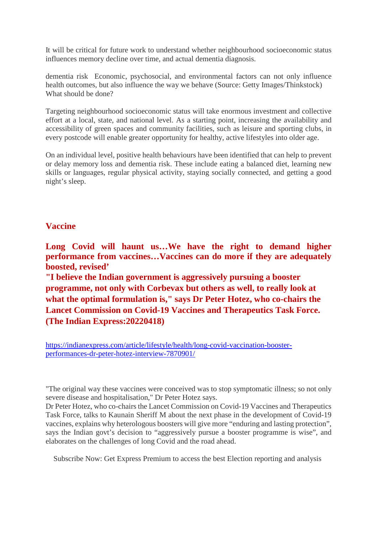It will be critical for future work to understand whether neighbourhood socioeconomic status influences memory decline over time, and actual dementia diagnosis.

dementia risk Economic, psychosocial, and environmental factors can not only influence health outcomes, but also influence the way we behave (Source: Getty Images/Thinkstock) What should be done?

Targeting neighbourhood socioeconomic status will take enormous investment and collective effort at a local, state, and national level. As a starting point, increasing the availability and accessibility of green spaces and community facilities, such as leisure and sporting clubs, in every postcode will enable greater opportunity for healthy, active lifestyles into older age.

On an individual level, positive health behaviours have been identified that can help to prevent or delay memory loss and dementia risk. These include eating a balanced diet, learning new skills or languages, regular physical activity, staying socially connected, and getting a good night's sleep.

#### **Vaccine**

**Long Covid will haunt us…We have the right to demand higher performance from vaccines…Vaccines can do more if they are adequately boosted, revised'**

**"I believe the Indian government is aggressively pursuing a booster programme, not only with Corbevax but others as well, to really look at what the optimal formulation is," says Dr Peter Hotez, who co-chairs the Lancet Commission on Covid-19 Vaccines and Therapeutics Task Force. (The Indian Express:20220418)**

https://indianexpress.com/article/lifestyle/health/long-covid-vaccination-boosterperformances-dr-peter-hotez-interview-7870901/

"The original way these vaccines were conceived was to stop symptomatic illness; so not only severe disease and hospitalisation," Dr Peter Hotez says.

Dr Peter Hotez, who co-chairs the Lancet Commission on Covid-19 Vaccines and Therapeutics Task Force, talks to Kaunain Sheriff M about the next phase in the development of Covid-19 vaccines, explains why heterologous boosters will give more "enduring and lasting protection", says the Indian govt's decision to "aggressively pursue a booster programme is wise", and elaborates on the challenges of long Covid and the road ahead.

Subscribe Now: Get Express Premium to access the best Election reporting and analysis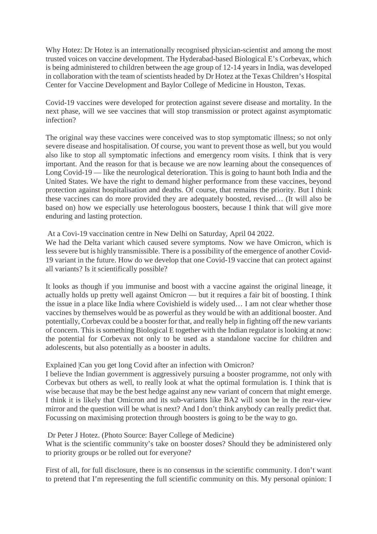Why Hotez: Dr Hotez is an internationally recognised physician-scientist and among the most trusted voices on vaccine development. The Hyderabad-based Biological E's Corbevax, which is being administered to children between the age group of 12-14 years in India, was developed in collaboration with the team of scientists headed by Dr Hotez at the Texas Children's Hospital Center for Vaccine Development and Baylor College of Medicine in Houston, Texas.

Covid-19 vaccines were developed for protection against severe disease and mortality. In the next phase, will we see vaccines that will stop transmission or protect against asymptomatic infection?

The original way these vaccines were conceived was to stop symptomatic illness; so not only severe disease and hospitalisation. Of course, you want to prevent those as well, but you would also like to stop all symptomatic infections and emergency room visits. I think that is very important. And the reason for that is because we are now learning about the consequences of Long Covid-19 — like the neurological deterioration. This is going to haunt both India and the United States. We have the right to demand higher performance from these vaccines, beyond protection against hospitalisation and deaths. Of course, that remains the priority. But I think these vaccines can do more provided they are adequately boosted, revised… (It will also be based on) how we especially use heterologous boosters, because I think that will give more enduring and lasting protection.

At a Covi-19 vaccination centre in New Delhi on Saturday, April 04 2022.

We had the Delta variant which caused severe symptoms. Now we have Omicron, which is less severe but is highly transmissible. There is a possibility of the emergence of another Covid-19 variant in the future. How do we develop that one Covid-19 vaccine that can protect against all variants? Is it scientifically possible?

It looks as though if you immunise and boost with a vaccine against the original lineage, it actually holds up pretty well against Omicron — but it requires a fair bit of boosting. I think the issue in a place like India where Covishield is widely used… I am not clear whether those vaccines by themselves would be as powerful as they would be with an additional booster. And potentially, Corbevax could be a booster for that, and really help in fighting off the new variants of concern. This is something Biological E together with the Indian regulator is looking at now: the potential for Corbevax not only to be used as a standalone vaccine for children and adolescents, but also potentially as a booster in adults.

#### Explained |Can you get long Covid after an infection with Omicron?

I believe the Indian government is aggressively pursuing a booster programme, not only with Corbevax but others as well, to really look at what the optimal formulation is. I think that is wise because that may be the best hedge against any new variant of concern that might emerge. I think it is likely that Omicron and its sub-variants like BA2 will soon be in the rear-view mirror and the question will be what is next? And I don't think anybody can really predict that. Focussing on maximising protection through boosters is going to be the way to go.

#### Dr Peter J Hotez. (Photo Source: Bayer College of Medicine)

What is the scientific community's take on booster doses? Should they be administered only to priority groups or be rolled out for everyone?

First of all, for full disclosure, there is no consensus in the scientific community. I don't want to pretend that I'm representing the full scientific community on this. My personal opinion: I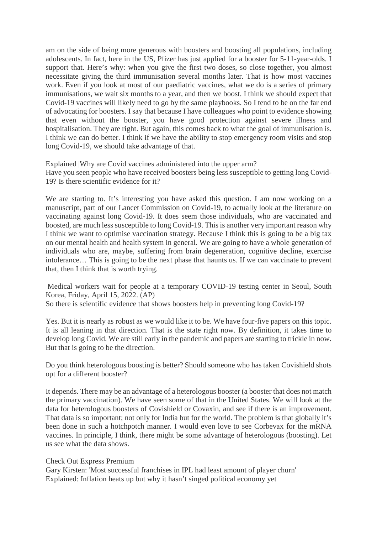am on the side of being more generous with boosters and boosting all populations, including adolescents. In fact, here in the US, Pfizer has just applied for a booster for 5-11-year-olds. I support that. Here's why: when you give the first two doses, so close together, you almost necessitate giving the third immunisation several months later. That is how most vaccines work. Even if you look at most of our paediatric vaccines, what we do is a series of primary immunisations, we wait six months to a year, and then we boost. I think we should expect that Covid-19 vaccines will likely need to go by the same playbooks. So I tend to be on the far end of advocating for boosters. I say that because I have colleagues who point to evidence showing that even without the booster, you have good protection against severe illness and hospitalisation. They are right. But again, this comes back to what the goal of immunisation is. I think we can do better. I think if we have the ability to stop emergency room visits and stop long Covid-19, we should take advantage of that.

Explained |Why are Covid vaccines administered into the upper arm? Have you seen people who have received boosters being less susceptible to getting long Covid-19? Is there scientific evidence for it?

We are starting to. It's interesting you have asked this question. I am now working on a manuscript, part of our Lancet Commission on Covid-19, to actually look at the literature on vaccinating against long Covid-19. It does seem those individuals, who are vaccinated and boosted, are much less susceptible to long Covid-19. This is another very important reason why I think we want to optimise vaccination strategy. Because I think this is going to be a big tax on our mental health and health system in general. We are going to have a whole generation of individuals who are, maybe, suffering from brain degeneration, cognitive decline, exercise intolerance… This is going to be the next phase that haunts us. If we can vaccinate to prevent that, then I think that is worth trying.

Medical workers wait for people at a temporary COVID-19 testing center in Seoul, South Korea, Friday, April 15, 2022. (AP)

So there is scientific evidence that shows boosters help in preventing long Covid-19?

Yes. But it is nearly as robust as we would like it to be. We have four-five papers on this topic. It is all leaning in that direction. That is the state right now. By definition, it takes time to develop long Covid. We are still early in the pandemic and papers are starting to trickle in now. But that is going to be the direction.

Do you think heterologous boosting is better? Should someone who has taken Covishield shots opt for a different booster?

It depends. There may be an advantage of a heterologous booster (a booster that does not match the primary vaccination). We have seen some of that in the United States. We will look at the data for heterologous boosters of Covishield or Covaxin, and see if there is an improvement. That data is so important; not only for India but for the world. The problem is that globally it's been done in such a hotchpotch manner. I would even love to see Corbevax for the mRNA vaccines. In principle, I think, there might be some advantage of heterologous (boosting). Let us see what the data shows.

#### Check Out Express Premium

Gary Kirsten: 'Most successful franchises in IPL had least amount of player churn' Explained: Inflation heats up but why it hasn't singed political economy yet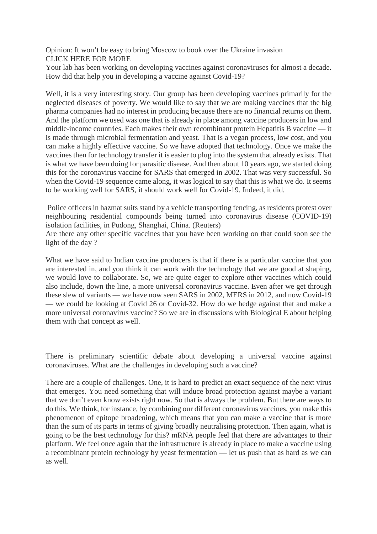Opinion: It won't be easy to bring Moscow to book over the Ukraine invasion CLICK HERE FOR MORE

Your lab has been working on developing vaccines against coronaviruses for almost a decade. How did that help you in developing a vaccine against Covid-19?

Well, it is a very interesting story. Our group has been developing vaccines primarily for the neglected diseases of poverty. We would like to say that we are making vaccines that the big pharma companies had no interest in producing because there are no financial returns on them. And the platform we used was one that is already in place among vaccine producers in low and middle-income countries. Each makes their own recombinant protein Hepatitis B vaccine — it is made through microbial fermentation and yeast. That is a vegan process, low cost, and you can make a highly effective vaccine. So we have adopted that technology. Once we make the vaccines then for technology transfer it is easier to plug into the system that already exists. That is what we have been doing for parasitic disease. And then about 10 years ago, we started doing this for the coronavirus vaccine for SARS that emerged in 2002. That was very successful. So when the Covid-19 sequence came along, it was logical to say that this is what we do. It seems to be working well for SARS, it should work well for Covid-19. Indeed, it did.

Police officers in hazmat suits stand by a vehicle transporting fencing, as residents protest over neighbouring residential compounds being turned into coronavirus disease (COVID-19) isolation facilities, in Pudong, Shanghai, China. (Reuters)

Are there any other specific vaccines that you have been working on that could soon see the light of the day ?

What we have said to Indian vaccine producers is that if there is a particular vaccine that you are interested in, and you think it can work with the technology that we are good at shaping, we would love to collaborate. So, we are quite eager to explore other vaccines which could also include, down the line, a more universal coronavirus vaccine. Even after we get through these slew of variants — we have now seen SARS in 2002, MERS in 2012, and now Covid-19 — we could be looking at Covid 26 or Covid-32. How do we hedge against that and make a more universal coronavirus vaccine? So we are in discussions with Biological E about helping them with that concept as well.

There is preliminary scientific debate about developing a universal vaccine against coronaviruses. What are the challenges in developing such a vaccine?

There are a couple of challenges. One, it is hard to predict an exact sequence of the next virus that emerges. You need something that will induce broad protection against maybe a variant that we don't even know exists right now. So that is always the problem. But there are ways to do this. We think, for instance, by combining our different coronavirus vaccines, you make this phenomenon of epitope broadening, which means that you can make a vaccine that is more than the sum of its parts in terms of giving broadly neutralising protection. Then again, what is going to be the best technology for this? mRNA people feel that there are advantages to their platform. We feel once again that the infrastructure is already in place to make a vaccine using a recombinant protein technology by yeast fermentation — let us push that as hard as we can as well.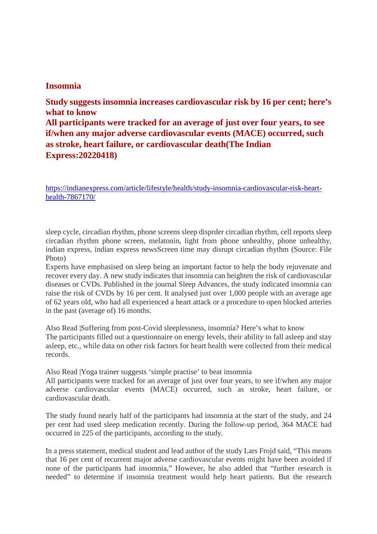#### **Insomnia**

**Study suggests insomnia increases cardiovascular risk by 16 per cent; here's what to know All participants were tracked for an average of just over four years, to see if/when any major adverse cardiovascular events (MACE) occurred, such as stroke, heart failure, or cardiovascular death(The Indian Express:20220418)**

https://indianexpress.com/article/lifestyle/health/study-insomnia-cardiovascular-risk-hearthealth-7867170/

sleep cycle, circadian rhythm, phone screens sleep disprder circadian rhythm, cell reports sleep circadian rhythm phone screen, melatonin, light from phone unhealthy, phone unhealthy, indian express, indian express newsScreen time may disrupt circadian rhythm (Source: File Photo)

Experts have emphasised on sleep being an important factor to help the body rejuvenate and recover every day. A new study indicates that insomnia can heighten the risk of cardiovascular diseases or CVDs. Published in the journal Sleep Advances, the study indicated insomnia can raise the risk of CVDs by 16 per cent. It analysed just over 1,000 people with an average age of 62 years old, who had all experienced a heart attack or a procedure to open blocked arteries in the past (average of) 16 months.

Also Read |Suffering from post-Covid sleeplessness, insomnia? Here's what to know The participants filled out a questionnaire on energy levels, their ability to fall asleep and stay asleep, etc., while data on other risk factors for heart health were collected from their medical records.

Also Read |Yoga trainer suggests 'simple practise' to beat insomnia

All participants were tracked for an average of just over four years, to see if/when any major adverse cardiovascular events (MACE) occurred, such as stroke, heart failure, or cardiovascular death.

The study found nearly half of the participants had insomnia at the start of the study, and 24 per cent had used sleep medication recently. During the follow-up period, 364 MACE had occurred in 225 of the participants, according to the study.

In a press statement, medical student and lead author of the study Lars Frojd said, "This means that 16 per cent of recurrent major adverse cardiovascular events might have been avoided if none of the participants had insomnia," However, he also added that "further research is needed" to determine if insomnia treatment would help heart patients. But the research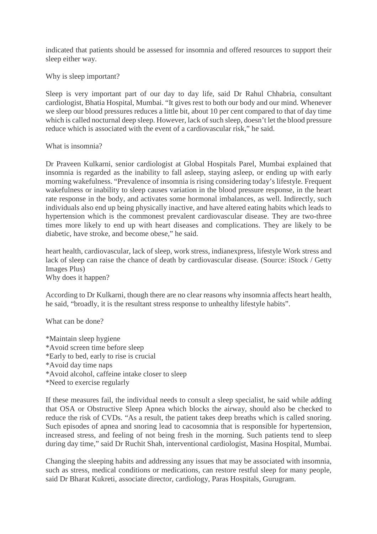indicated that patients should be assessed for insomnia and offered resources to support their sleep either way.

Why is sleep important?

Sleep is very important part of our day to day life, said Dr Rahul Chhabria, consultant cardiologist, Bhatia Hospital, Mumbai. "It gives rest to both our body and our mind. Whenever we sleep our blood pressures reduces a little bit, about 10 per cent compared to that of day time which is called nocturnal deep sleep. However, lack of such sleep, doesn't let the blood pressure reduce which is associated with the event of a cardiovascular risk," he said.

What is insomnia?

Dr Praveen Kulkarni, senior cardiologist at Global Hospitals Parel, Mumbai explained that insomnia is regarded as the inability to fall asleep, staying asleep, or ending up with early morning wakefulness. "Prevalence of insomnia is rising considering today's lifestyle. Frequent wakefulness or inability to sleep causes variation in the blood pressure response, in the heart rate response in the body, and activates some hormonal imbalances, as well. Indirectly, such individuals also end up being physically inactive, and have altered eating habits which leads to hypertension which is the commonest prevalent cardiovascular disease. They are two-three times more likely to end up with heart diseases and complications. They are likely to be diabetic, have stroke, and become obese," he said.

heart health, cardiovascular, lack of sleep, work stress, indianexpress, lifestyle Work stress and lack of sleep can raise the chance of death by cardiovascular disease. (Source: iStock / Getty Images Plus) Why does it happen?

According to Dr Kulkarni, though there are no clear reasons why insomnia affects heart health, he said, "broadly, it is the resultant stress response to unhealthy lifestyle habits".

What can be done?

\*Maintain sleep hygiene \*Avoid screen time before sleep \*Early to bed, early to rise is crucial \*Avoid day time naps \*Avoid alcohol, caffeine intake closer to sleep \*Need to exercise regularly

If these measures fail, the individual needs to consult a sleep specialist, he said while adding that OSA or Obstructive Sleep Apnea which blocks the airway, should also be checked to reduce the risk of CVDs. "As a result, the patient takes deep breaths which is called snoring. Such episodes of apnea and snoring lead to cacosomnia that is responsible for hypertension, increased stress, and feeling of not being fresh in the morning. Such patients tend to sleep during day time," said Dr Ruchit Shah, interventional cardiologist, Masina Hospital, Mumbai.

Changing the sleeping habits and addressing any issues that may be associated with insomnia, such as stress, medical conditions or medications, can restore restful sleep for many people, said Dr Bharat Kukreti, associate director, cardiology, Paras Hospitals, Gurugram.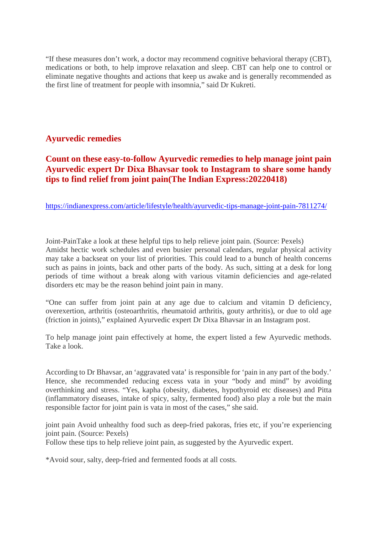"If these measures don't work, a doctor may recommend cognitive behavioral therapy (CBT), medications or both, to help improve relaxation and sleep. CBT can help one to control or eliminate negative thoughts and actions that keep us awake and is generally recommended as the first line of treatment for people with insomnia," said Dr Kukreti.

#### **Ayurvedic remedies**

#### **Count on these easy-to-follow Ayurvedic remedies to help manage joint pain Ayurvedic expert Dr Dixa Bhavsar took to Instagram to share some handy tips to find relief from joint pain(The Indian Express:20220418)**

https://indianexpress.com/article/lifestyle/health/ayurvedic-tips-manage-joint-pain-7811274/

Joint-PainTake a look at these helpful tips to help relieve joint pain. (Source: Pexels) Amidst hectic work schedules and even busier personal calendars, regular physical activity may take a backseat on your list of priorities. This could lead to a bunch of health concerns such as pains in joints, back and other parts of the body. As such, sitting at a desk for long periods of time without a break along with various vitamin deficiencies and age-related disorders etc may be the reason behind joint pain in many.

"One can suffer from joint pain at any age due to calcium and vitamin D deficiency, overexertion, arthritis (osteoarthritis, rheumatoid arthritis, gouty arthritis), or due to old age (friction in joints)," explained Ayurvedic expert Dr Dixa Bhavsar in an Instagram post.

To help manage joint pain effectively at home, the expert listed a few Ayurvedic methods. Take a look.

According to Dr Bhavsar, an 'aggravated vata' is responsible for 'pain in any part of the body.' Hence, she recommended reducing excess vata in your "body and mind" by avoiding overthinking and stress. "Yes, kapha (obesity, diabetes, hypothyroid etc diseases) and Pitta (inflammatory diseases, intake of spicy, salty, fermented food) also play a role but the main responsible factor for joint pain is vata in most of the cases," she said.

joint pain Avoid unhealthy food such as deep-fried pakoras, fries etc, if you're experiencing joint pain. (Source: Pexels)

Follow these tips to help relieve joint pain, as suggested by the Ayurvedic expert.

\*Avoid sour, salty, deep-fried and fermented foods at all costs.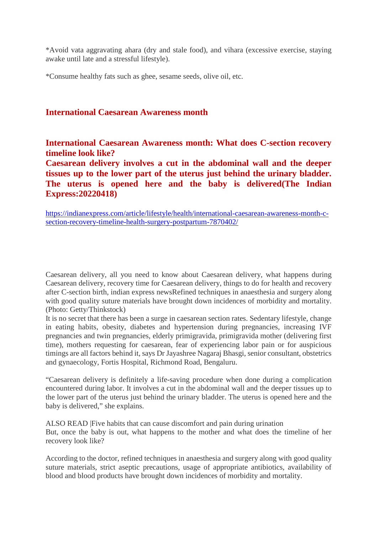\*Avoid vata aggravating ahara (dry and stale food), and vihara (excessive exercise, staying awake until late and a stressful lifestyle).

\*Consume healthy fats such as ghee, sesame seeds, olive oil, etc.

#### **International Caesarean Awareness month**

**International Caesarean Awareness month: What does C-section recovery timeline look like?**

**Caesarean delivery involves a cut in the abdominal wall and the deeper tissues up to the lower part of the uterus just behind the urinary bladder. The uterus is opened here and the baby is delivered(The Indian Express:20220418)**

https://indianexpress.com/article/lifestyle/health/international-caesarean-awareness-month-csection-recovery-timeline-health-surgery-postpartum-7870402/

Caesarean delivery, all you need to know about Caesarean delivery, what happens during Caesarean delivery, recovery time for Caesarean delivery, things to do for health and recovery after C-section birth, indian express newsRefined techniques in anaesthesia and surgery along with good quality suture materials have brought down incidences of morbidity and mortality. (Photo: Getty/Thinkstock)

It is no secret that there has been a surge in caesarean section rates. Sedentary lifestyle, change in eating habits, obesity, diabetes and hypertension during pregnancies, increasing IVF pregnancies and twin pregnancies, elderly primigravida, primigravida mother (delivering first time), mothers requesting for caesarean, fear of experiencing labor pain or for auspicious timings are all factors behind it, says Dr Jayashree Nagaraj Bhasgi, senior consultant, obstetrics and gynaecology, Fortis Hospital, Richmond Road, Bengaluru.

"Caesarean delivery is definitely a life-saving procedure when done during a complication encountered during labor. It involves a cut in the abdominal wall and the deeper tissues up to the lower part of the uterus just behind the urinary bladder. The uterus is opened here and the baby is delivered," she explains.

ALSO READ |Five habits that can cause discomfort and pain during urination But, once the baby is out, what happens to the mother and what does the timeline of her recovery look like?

According to the doctor, refined techniques in anaesthesia and surgery along with good quality suture materials, strict aseptic precautions, usage of appropriate antibiotics, availability of blood and blood products have brought down incidences of morbidity and mortality.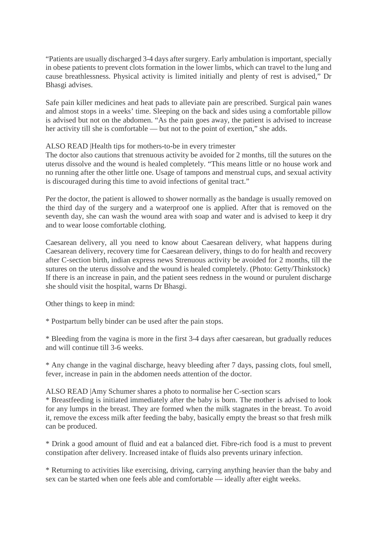"Patients are usually discharged 3-4 days after surgery. Early ambulation is important, specially in obese patients to prevent clots formation in the lower limbs, which can travel to the lung and cause breathlessness. Physical activity is limited initially and plenty of rest is advised," Dr Bhasgi advises.

Safe pain killer medicines and heat pads to alleviate pain are prescribed. Surgical pain wanes and almost stops in a weeks' time. Sleeping on the back and sides using a comfortable pillow is advised but not on the abdomen. "As the pain goes away, the patient is advised to increase her activity till she is comfortable — but not to the point of exertion," she adds.

#### ALSO READ |Health tips for mothers-to-be in every trimester

The doctor also cautions that strenuous activity be avoided for 2 months, till the sutures on the uterus dissolve and the wound is healed completely. "This means little or no house work and no running after the other little one. Usage of tampons and menstrual cups, and sexual activity is discouraged during this time to avoid infections of genital tract."

Per the doctor, the patient is allowed to shower normally as the bandage is usually removed on the third day of the surgery and a waterproof one is applied. After that is removed on the seventh day, she can wash the wound area with soap and water and is advised to keep it dry and to wear loose comfortable clothing.

Caesarean delivery, all you need to know about Caesarean delivery, what happens during Caesarean delivery, recovery time for Caesarean delivery, things to do for health and recovery after C-section birth, indian express news Strenuous activity be avoided for 2 months, till the sutures on the uterus dissolve and the wound is healed completely. (Photo: Getty/Thinkstock) If there is an increase in pain, and the patient sees redness in the wound or purulent discharge she should visit the hospital, warns Dr Bhasgi.

Other things to keep in mind:

\* Postpartum belly binder can be used after the pain stops.

\* Bleeding from the vagina is more in the first 3-4 days after caesarean, but gradually reduces and will continue till 3-6 weeks.

\* Any change in the vaginal discharge, heavy bleeding after 7 days, passing clots, foul smell, fever, increase in pain in the abdomen needs attention of the doctor.

#### ALSO READ |Amy Schumer shares a photo to normalise her C-section scars

\* Breastfeeding is initiated immediately after the baby is born. The mother is advised to look for any lumps in the breast. They are formed when the milk stagnates in the breast. To avoid it, remove the excess milk after feeding the baby, basically empty the breast so that fresh milk can be produced.

\* Drink a good amount of fluid and eat a balanced diet. Fibre-rich food is a must to prevent constipation after delivery. Increased intake of fluids also prevents urinary infection.

\* Returning to activities like exercising, driving, carrying anything heavier than the baby and sex can be started when one feels able and comfortable — ideally after eight weeks.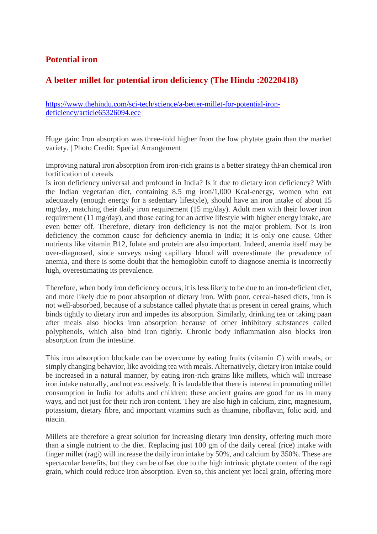#### **Potential iron**

## **A better millet for potential iron deficiency (The Hindu :20220418)**

https://www.thehindu.com/sci-tech/science/a-better-millet-for-potential-irondeficiency/article65326094.ece

Huge gain: Iron absorption was three-fold higher from the low phytate grain than the market variety. | Photo Credit: Special Arrangement

Improving natural iron absorption from iron-rich grains is a better strategy thFan chemical iron fortification of cereals

Is iron deficiency universal and profound in India? Is it due to dietary iron deficiency? With the Indian vegetarian diet, containing 8.5 mg iron/1,000 Kcal-energy, women who eat adequately (enough energy for a sedentary lifestyle), should have an iron intake of about 15 mg/day, matching their daily iron requirement (15 mg/day). Adult men with their lower iron requirement (11 mg/day), and those eating for an active lifestyle with higher energy intake, are even better off. Therefore, dietary iron deficiency is not the major problem. Nor is iron deficiency the common cause for deficiency anemia in India; it is only one cause. Other nutrients like vitamin B12, folate and protein are also important. Indeed, anemia itself may be over-diagnosed, since surveys using capillary blood will overestimate the prevalence of anemia, and there is some doubt that the hemoglobin cutoff to diagnose anemia is incorrectly high, overestimating its prevalence.

Therefore, when body iron deficiency occurs, it is less likely to be due to an iron-deficient diet, and more likely due to poor absorption of dietary iron. With poor, cereal-based diets, iron is not well-absorbed, because of a substance called phytate that is present in cereal grains, which binds tightly to dietary iron and impedes its absorption. Similarly, drinking tea or taking paan after meals also blocks iron absorption because of other inhibitory substances called polyphenols, which also bind iron tightly. Chronic body inflammation also blocks iron absorption from the intestine.

This iron absorption blockade can be overcome by eating fruits (vitamin C) with meals, or simply changing behavior, like avoiding tea with meals. Alternatively, dietary iron intake could be increased in a natural manner, by eating iron-rich grains like millets, which will increase iron intake naturally, and not excessively. It is laudable that there is interest in promoting millet consumption in India for adults and children: these ancient grains are good for us in many ways, and not just for their rich iron content. They are also high in calcium, zinc, magnesium, potassium, dietary fibre, and important vitamins such as thiamine, riboflavin, folic acid, and niacin.

Millets are therefore a great solution for increasing dietary iron density, offering much more than a single nutrient to the diet. Replacing just 100 gm of the daily cereal (rice) intake with finger millet (ragi) will increase the daily iron intake by 50%, and calcium by 350%. These are spectacular benefits, but they can be offset due to the high intrinsic phytate content of the ragi grain, which could reduce iron absorption. Even so, this ancient yet local grain, offering more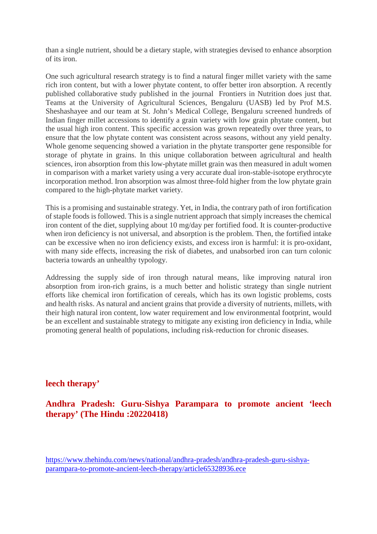than a single nutrient, should be a dietary staple, with strategies devised to enhance absorption of its iron.

One such agricultural research strategy is to find a natural finger millet variety with the same rich iron content, but with a lower phytate content, to offer better iron absorption. A recently published collaborative study published in the journal Frontiers in Nutrition does just that. Teams at the University of Agricultural Sciences, Bengaluru (UASB) led by Prof M.S. Sheshashayee and our team at St. John's Medical College, Bengaluru screened hundreds of Indian finger millet accessions to identify a grain variety with low grain phytate content, but the usual high iron content. This specific accession was grown repeatedly over three years, to ensure that the low phytate content was consistent across seasons, without any yield penalty. Whole genome sequencing showed a variation in the phytate transporter gene responsible for storage of phytate in grains. In this unique collaboration between agricultural and health sciences, iron absorption from this low-phytate millet grain was then measured in adult women in comparison with a market variety using a very accurate dual iron-stable-isotope erythrocyte incorporation method. Iron absorption was almost three-fold higher from the low phytate grain compared to the high-phytate market variety.

This is a promising and sustainable strategy. Yet, in India, the contrary path of iron fortification of staple foods is followed. This is a single nutrient approach that simply increases the chemical iron content of the diet, supplying about 10 mg/day per fortified food. It is counter-productive when iron deficiency is not universal, and absorption is the problem. Then, the fortified intake can be excessive when no iron deficiency exists, and excess iron is harmful: it is pro-oxidant, with many side effects, increasing the risk of diabetes, and unabsorbed iron can turn colonic bacteria towards an unhealthy typology.

Addressing the supply side of iron through natural means, like improving natural iron absorption from iron-rich grains, is a much better and holistic strategy than single nutrient efforts like chemical iron fortification of cereals, which has its own logistic problems, costs and health risks. As natural and ancient grains that provide a diversity of nutrients, millets, with their high natural iron content, low water requirement and low environmental footprint, would be an excellent and sustainable strategy to mitigate any existing iron deficiency in India, while promoting general health of populations, including risk-reduction for chronic diseases.

#### **leech therapy'**

**Andhra Pradesh: Guru-Sishya Parampara to promote ancient 'leech therapy' (The Hindu :20220418)**

https://www.thehindu.com/news/national/andhra-pradesh/andhra-pradesh-guru-sishyaparampara-to-promote-ancient-leech-therapy/article65328936.ece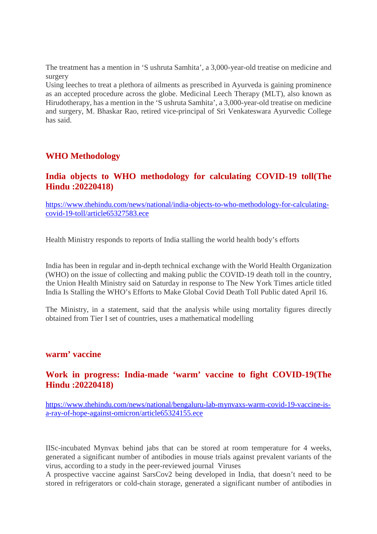The treatment has a mention in 'S ushruta Samhita', a 3,000-year-old treatise on medicine and surgery

Using leeches to treat a plethora of ailments as prescribed in Ayurveda is gaining prominence as an accepted procedure across the globe. Medicinal Leech Therapy (MLT), also known as Hirudotherapy, has a mention in the 'S ushruta Samhita', a 3,000-year-old treatise on medicine and surgery, M. Bhaskar Rao, retired vice-principal of Sri Venkateswara Ayurvedic College has said.

#### **WHO Methodology**

#### **India objects to WHO methodology for calculating COVID-19 toll(The Hindu :20220418)**

https://www.thehindu.com/news/national/india-objects-to-who-methodology-for-calculatingcovid-19-toll/article65327583.ece

Health Ministry responds to reports of India stalling the world health body's efforts

India has been in regular and in-depth technical exchange with the World Health Organization (WHO) on the issue of collecting and making public the COVID-19 death toll in the country, the Union Health Ministry said on Saturday in response to The New York Times article titled India Is Stalling the WHO's Efforts to Make Global Covid Death Toll Public dated April 16.

The Ministry, in a statement, said that the analysis while using mortality figures directly obtained from Tier I set of countries, uses a mathematical modelling

#### **warm' vaccine**

#### **Work in progress: India-made 'warm' vaccine to fight COVID-19(The Hindu :20220418)**

https://www.thehindu.com/news/national/bengaluru-lab-mynvaxs-warm-covid-19-vaccine-isa-ray-of-hope-against-omicron/article65324155.ece

IISc-incubated Mynvax behind jabs that can be stored at room temperature for 4 weeks, generated a significant number of antibodies in mouse trials against prevalent variants of the virus, according to a study in the peer-reviewed journal Viruses

A prospective vaccine against SarsCov2 being developed in India, that doesn't need to be stored in refrigerators or cold-chain storage, generated a significant number of antibodies in